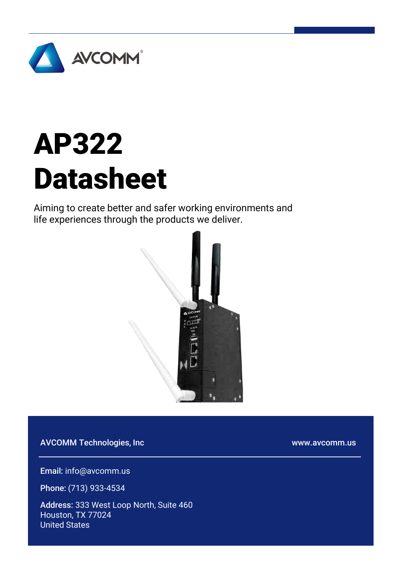

# AP322 Datasheet

Aiming to create better and safer working environments and life experiences through the products we deliver.



AVCOMM Technologies, Inc

www.avcomm.us

Email: info@avcomm.us

Phone: (713) 933-4534

Address: 333 West Loop North, Suite 460 Houston, TX 77024 United States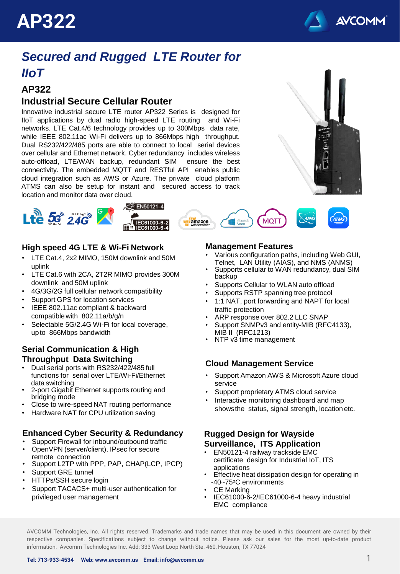



### *Secured and Rugged LTE Router for IIoT*

### **AP322**

#### **Industrial Secure Cellular Router**

Innovative industrial secure LTE router AP322 Series is designed for IIoT applications by dual radio high-speed LTE routing and Wi-Fi networks. LTE Cat.4/6 technology provides up to 300Mbps data rate, while IEEE 802.11ac Wi-Fi delivers up to 866Mbps high throughput. Dual RS232/422/485 ports are able to connect to local serial devices over cellular and Ethernet network. Cyber redundancy includes wireless auto-offload, LTE/WAN backup, redundant SIM ensure the best connectivity. The embedded MQTT and RESTful API enables public cloud integration such as AWS or Azure. The private cloud platform ATMS can also be setup for instant and secured access to track location and monitor data over cloud.





#### **High speed 4G LTE & Wi-Fi Network**

- LTE Cat.4, 2x2 MIMO, 150M downlink and 50M uplink
- LTE Cat.6 with 2CA, 2T2R MIMO provides 300M downlink and 50M uplink
- 4G/3G/2G full cellular network compatibility
- Support GPS for location services
- IEEE 802.11ac compliant & backward compatible with 802.11a/b/g/n
- Selectable 5G/2.4G Wi-Fi for local coverage, upto 866Mbps bandwidth

#### **Serial Communication & High Throughput Data Switching**

- Dual serial ports with RS232/422/485 full functions for serial over LTE/Wi-Fi/Ethernet data switching
- 2-port Gigabit Ethernet supports routing and bridging mode
- Close to wire-speed NAT routing performance
- Hardware NAT for CPU utilization saving

#### **Enhanced Cyber Security & Redundancy**

- Support Firewall for inbound/outbound traffic
- OpenVPN (server/client), IPsec for secure remote connection
- Support L2TP with PPP, PAP, CHAP(LCP, IPCP)
- Support GRE tunnel
- HTTPs/SSH secure login
- Support TACACS+ multi-user authentication for privileged user management

#### **Management Features**

- Various configuration paths, including Web GUI, Telnet, LAN Utility (AIAS), and NMS (ANMS)
- Supports cellular to WAN redundancy, dual SIM backup
- Supports Cellular to WLAN auto offload
- Supports RSTP spanning tree protocol
- 1:1 NAT, port forwarding and NAPT for local traffic protection
- ARP response over 802.2 LLC SNAP
- Support SNMPv3 and entity-MIB (RFC4133), MIB II (RFC1213)
- NTP v3 time management

#### **Cloud Management Service**

- Support Amazon AWS & Microsoft Azure cloud service
- Support proprietary ATMS cloud service
- Interactive monitoring dashboard and map showsthe status, signal strength, location etc.

#### **Rugged Design for Wayside Surveillance, ITS Application**

- EN50121-4 railway trackside EMC certificate design for Industrial IoT, ITS applications
- Effective heat dissipation design for operating in -40~75°C environments
- CE Marking
- IEC61000-6-2/IEC61000-6-4 heavy industrial EMC compliance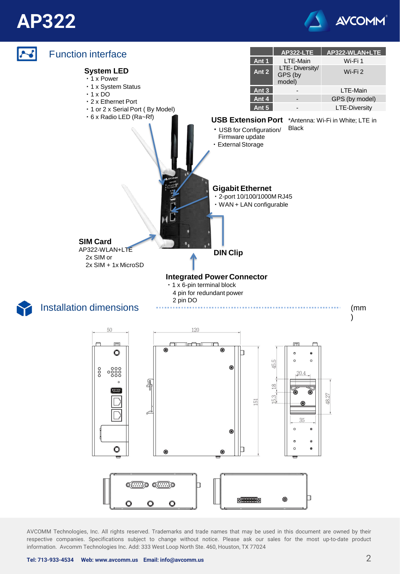## **AP322**



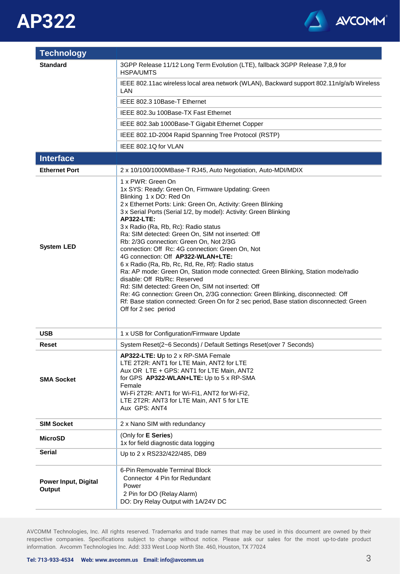



| <b>Technology</b>                     |                                                                                                                                                                                                                                                                                                                                                                                                                                                                                                                                                                                                                                                                                                                                                                                                                                                                                                                                   |
|---------------------------------------|-----------------------------------------------------------------------------------------------------------------------------------------------------------------------------------------------------------------------------------------------------------------------------------------------------------------------------------------------------------------------------------------------------------------------------------------------------------------------------------------------------------------------------------------------------------------------------------------------------------------------------------------------------------------------------------------------------------------------------------------------------------------------------------------------------------------------------------------------------------------------------------------------------------------------------------|
| <b>Standard</b>                       | 3GPP Release 11/12 Long Term Evolution (LTE), fallback 3GPP Release 7,8,9 for<br><b>HSPA/UMTS</b>                                                                                                                                                                                                                                                                                                                                                                                                                                                                                                                                                                                                                                                                                                                                                                                                                                 |
|                                       | IEEE 802.11ac wireless local area network (WLAN), Backward support 802.11n/g/a/b Wireless<br>LAN                                                                                                                                                                                                                                                                                                                                                                                                                                                                                                                                                                                                                                                                                                                                                                                                                                  |
|                                       | IEEE 802.3 10Base-T Ethernet                                                                                                                                                                                                                                                                                                                                                                                                                                                                                                                                                                                                                                                                                                                                                                                                                                                                                                      |
|                                       | IEEE 802.3u 100Base-TX Fast Ethernet                                                                                                                                                                                                                                                                                                                                                                                                                                                                                                                                                                                                                                                                                                                                                                                                                                                                                              |
|                                       | IEEE 802.3ab 1000Base-T Gigabit Ethernet Copper                                                                                                                                                                                                                                                                                                                                                                                                                                                                                                                                                                                                                                                                                                                                                                                                                                                                                   |
|                                       | IEEE 802.1D-2004 Rapid Spanning Tree Protocol (RSTP)                                                                                                                                                                                                                                                                                                                                                                                                                                                                                                                                                                                                                                                                                                                                                                                                                                                                              |
|                                       | IEEE 802.1Q for VLAN                                                                                                                                                                                                                                                                                                                                                                                                                                                                                                                                                                                                                                                                                                                                                                                                                                                                                                              |
| <b>Interface</b>                      |                                                                                                                                                                                                                                                                                                                                                                                                                                                                                                                                                                                                                                                                                                                                                                                                                                                                                                                                   |
| <b>Ethernet Port</b>                  | 2 x 10/100/1000MBase-T RJ45, Auto Negotiation, Auto-MDI/MDIX                                                                                                                                                                                                                                                                                                                                                                                                                                                                                                                                                                                                                                                                                                                                                                                                                                                                      |
| <b>System LED</b>                     | 1 x PWR: Green On<br>1x SYS: Ready: Green On, Firmware Updating: Green<br>Blinking 1 x DO: Red On<br>2 x Ethernet Ports: Link: Green On, Activity: Green Blinking<br>3 x Serial Ports (Serial 1/2, by model): Activity: Green Blinking<br><b>AP322-LTE:</b><br>3 x Radio (Ra, Rb, Rc): Radio status<br>Ra: SIM detected: Green On, SIM not inserted: Off<br>Rb: 2/3G connection: Green On, Not 2/3G<br>connection: Off Rc: 4G connection: Green On, Not<br>4G connection: Off AP322-WLAN+LTE:<br>6 x Radio (Ra, Rb, Rc, Rd, Re, Rf): Radio status<br>Ra: AP mode: Green On, Station mode connected: Green Blinking, Station mode/radio<br>disable: Off Rb/Rc: Reserved<br>Rd: SIM detected: Green On, SIM not inserted: Off<br>Re: 4G connection: Green On, 2/3G connection: Green Blinking, disconnected: Off<br>Rf: Base station connected: Green On for 2 sec period, Base station disconnected: Green<br>Off for 2 sec period |
| <b>USB</b>                            | 1 x USB for Configuration/Firmware Update                                                                                                                                                                                                                                                                                                                                                                                                                                                                                                                                                                                                                                                                                                                                                                                                                                                                                         |
| Reset                                 | System Reset(2~6 Seconds) / Default Settings Reset(over 7 Seconds)                                                                                                                                                                                                                                                                                                                                                                                                                                                                                                                                                                                                                                                                                                                                                                                                                                                                |
| <b>SMA Socket</b>                     | AP322-LTE: Up to 2 x RP-SMA Female<br>LTE 2T2R: ANT1 for LTE Main, ANT2 for LTE<br>Aux OR LTE + GPS: ANT1 for LTE Main, ANT2<br>for GPS AP322-WLAN+LTE: Up to 5 x RP-SMA<br>Female<br>Wi-Fi 2T2R: ANT1 for Wi-Fi1, ANT2 for Wi-Fi2,<br>LTE 2T2R: ANT3 for LTE Main, ANT 5 for LTE<br>Aux GPS: ANT4                                                                                                                                                                                                                                                                                                                                                                                                                                                                                                                                                                                                                                |
| <b>SIM Socket</b>                     | 2 x Nano SIM with redundancy                                                                                                                                                                                                                                                                                                                                                                                                                                                                                                                                                                                                                                                                                                                                                                                                                                                                                                      |
| <b>MicroSD</b>                        | (Only for E Series)<br>1x for field diagnostic data logging                                                                                                                                                                                                                                                                                                                                                                                                                                                                                                                                                                                                                                                                                                                                                                                                                                                                       |
| Serial                                | Up to 2 x RS232/422/485, DB9                                                                                                                                                                                                                                                                                                                                                                                                                                                                                                                                                                                                                                                                                                                                                                                                                                                                                                      |
| <b>Power Input, Digital</b><br>Output | 6-Pin Removable Terminal Block<br>Connector 4 Pin for Redundant<br>Power<br>2 Pin for DO (Relay Alarm)<br>DO: Dry Relay Output with 1A/24V DC                                                                                                                                                                                                                                                                                                                                                                                                                                                                                                                                                                                                                                                                                                                                                                                     |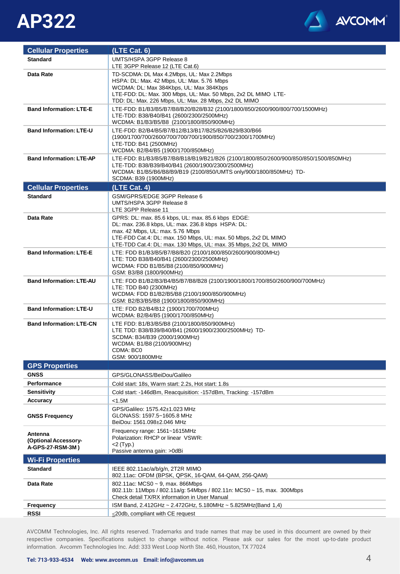



| <b>Cellular Properties</b>                          | (LTE Cat. 6)                                                                                                                                                                                                                                                                       |
|-----------------------------------------------------|------------------------------------------------------------------------------------------------------------------------------------------------------------------------------------------------------------------------------------------------------------------------------------|
| <b>Standard</b>                                     | UMTS/HSPA 3GPP Release 8<br>LTE 3GPP Release 12 (LTE Cat.6)                                                                                                                                                                                                                        |
| Data Rate                                           | TD-SCDMA: DL Max 4.2Mbps, UL: Max 2.2Mbps<br>HSPA: DL: Max. 42 Mbps, UL: Max. 5.76 Mbps<br>WCDMA: DL: Max 384Kbps, UL: Max 384Kbps<br>LTE-FDD: DL: Max. 300 Mbps, UL: Max. 50 Mbps, 2x2 DL MIMO LTE-<br>TDD: DL: Max. 226 Mbps, UL: Max. 28 Mbps, 2x2 DL MIMO                      |
| <b>Band Information: LTE-E</b>                      | LTE-FDD: B1/B3/B5/B7/B8/B20/B28/B32 (2100/1800/850/2600/900/800/700/1500MHz)<br>LTE-TDD: B38/B40/B41 (2600/2300/2500MHz)<br>WCDMA: B1/B3/B5/B8 (2100/1800/850/900MHz)                                                                                                              |
| <b>Band Information: LTE-U</b>                      | LTE-FDD: B2/B4/B5/B7/B12/B13/B17/B25/B26/B29/B30/B66<br>(1900/1700/700/2600/700/700/700/1900/850/700/2300/1700MHz)<br>LTE-TDD: B41 (2500MHz)<br>WCDMA: B2/B4/B5 (1900/1700/850MHz)                                                                                                 |
| <b>Band Information: LTE-AP</b>                     | LTE-FDD: B1/B3/B5/B7/B8/B18/B19/B21/B26 (2100/1800/850/2600/900/850/850/1500/850MHz)<br>LTE-TDD: B38/B39/B40/B41 (2600/1900/2300/2500MHz)<br>WCDMA: B1/B5/B6/B8/B9/B19 (2100/850/UMTS only/900/1800/850MHz) TD-<br>SCDMA: B39 (1900MHz)                                            |
| <b>Cellular Properties</b>                          | (LTE Cat. 4)                                                                                                                                                                                                                                                                       |
| <b>Standard</b>                                     | GSM/GPRS/EDGE 3GPP Release 6<br>UMTS/HSPA 3GPP Release 8<br>LTE 3GPP Release 11                                                                                                                                                                                                    |
| Data Rate                                           | GPRS: DL: max. 85.6 kbps, UL: max. 85.6 kbps EDGE:<br>DL: max. 236.8 kbps, UL: max. 236.8 kbps HSPA: DL:<br>max. 42 Mbps, UL: max. 5.76 Mbps<br>LTE-FDD Cat.4: DL: max. 150 Mbps, UL: max. 50 Mbps, 2x2 DL MIMO<br>LTE-TDD Cat.4: DL: max. 130 Mbps, UL: max. 35 Mbps, 2x2 DL MIMO |
| <b>Band Information: LTE-E</b>                      | LTE: FDD B1/B3/B5/B7/B8/B20 (2100/1800/850/2600/900/800MHz)<br>LTE: TDD B38/B40/B41 (2600/2300/2500MHz)<br>WCDMA: FDD B1/B5/B8 (2100/850/900MHz)<br>GSM: B3/B8 (1800/900MHz)                                                                                                       |
| <b>Band Information: LTE-AU</b>                     | LTE: FDD B1/B2/B3/B4/B5/B7/B8/B28 (2100/1900/1800/1700/850/2600/900/700MHz)<br>LTE: TDD B40 (2300MHz)<br>WCDMA: FDD B1/B2/B5/B8 (2100/1900/850/900MHz)<br>GSM: B2/B3/B5/B8 (1900/1800/850/900MHz)                                                                                  |
| <b>Band Information: LTE-U</b>                      | LTE: FDD B2/B4/B12 (1900/1700/700MHz)<br>WCDMA: B2/B4/B5 (1900/1700/850MHz)                                                                                                                                                                                                        |
| <b>Band Information: LTE-CN</b>                     | LTE FDD: B1/B3/B5/B8 (2100/1800/850/900MHz)<br>LTE TDD: B38/B39/B40/B41 (2600/1900/2300/2500MHz) TD-<br>SCDMA: B34/B39 (2000/1900MHz)<br>WCDMA: B1/B8 (2100/900MHz)<br>CDMA: BC0<br>GSM: 900/1800MHz                                                                               |
| <b>GPS Properties</b>                               |                                                                                                                                                                                                                                                                                    |
| <b>GNSS</b>                                         | GPS/GLONASS/BeiDou/Galileo                                                                                                                                                                                                                                                         |
| <b>Performance</b>                                  | Cold start: 18s, Warm start: 2.2s, Hot start: 1.8s                                                                                                                                                                                                                                 |
| <b>Sensitivity</b>                                  | Cold start: -146dBm, Reacquisition: -157dBm, Tracking: -157dBm                                                                                                                                                                                                                     |
| <b>Accuracy</b><br><b>GNSS Frequency</b>            | $<1.5M$<br>GPS/Galileo: 1575.42±1.023 MHz<br>GLONASS: 1597.5~1605.8 MHz<br>BeiDou: 1561.098±2.046 MHz                                                                                                                                                                              |
| Antenna<br>(Optional Accessory-<br>A-GPS-27-RSM-3M) | Frequency range: 1561~1615MHz<br>Polarization: RHCP or linear VSWR:<br>$2$ (Typ.)<br>Passive antenna gain: > 0dBi                                                                                                                                                                  |
| <b>Wi-Fi Properties</b>                             |                                                                                                                                                                                                                                                                                    |
| <b>Standard</b>                                     | IEEE 802.11ac/a/b/g/n, 2T2R MIMO<br>802.11ac: OFDM (BPSK, QPSK, 16-QAM, 64-QAM, 256-QAM)                                                                                                                                                                                           |
| Data Rate                                           | 802.11ac: MCS0 ~ 9, max. 866Mbps<br>802.11b: 11Mbps / 802.11a/g: 54Mbps / 802.11n: MCS0 ~ 15, max. 300Mbps<br>Check detail TX/RX information in User Manual                                                                                                                        |
| <b>Frequency</b>                                    | ISM Band, 2.412GHz ~ 2.472GHz, 5.180MHz ~ 5.825MHz(Band 1,4)                                                                                                                                                                                                                       |
| <b>RSSI</b>                                         | $\leq$ 20db, compliant with CE request                                                                                                                                                                                                                                             |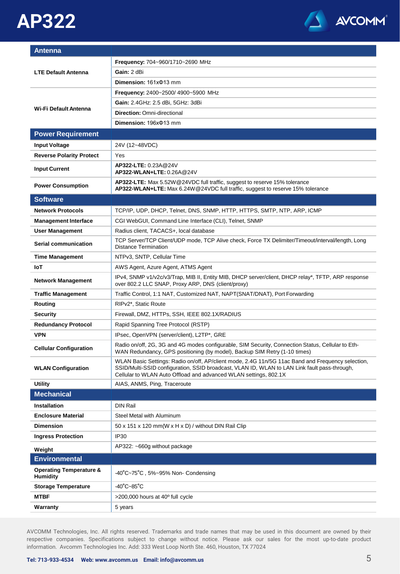# **AP322**



| <b>Antenna</b>                                        |                                                                                                                                                                                                                                                                       |
|-------------------------------------------------------|-----------------------------------------------------------------------------------------------------------------------------------------------------------------------------------------------------------------------------------------------------------------------|
| <b>LTE Default Antenna</b>                            | <b>Frequency: 704~960/1710~2690 MHz</b>                                                                                                                                                                                                                               |
|                                                       | Gain: 2 dBi                                                                                                                                                                                                                                                           |
|                                                       | Dimension: $161x\Phi13$ mm                                                                                                                                                                                                                                            |
|                                                       | <b>Frequency: 2400~2500/4900~5900 MHz</b>                                                                                                                                                                                                                             |
|                                                       | Gain: 2.4GHz: 2.5 dBi, 5GHz: 3dBi                                                                                                                                                                                                                                     |
| Wi-Fi Default Antenna                                 | <b>Direction: Omni-directional</b>                                                                                                                                                                                                                                    |
|                                                       | Dimension: 196x $\Phi$ 13 mm                                                                                                                                                                                                                                          |
| <b>Power Requirement</b>                              |                                                                                                                                                                                                                                                                       |
| <b>Input Voltage</b>                                  | 24V (12~48VDC)                                                                                                                                                                                                                                                        |
| <b>Reverse Polarity Protect</b>                       | Yes                                                                                                                                                                                                                                                                   |
| <b>Input Current</b>                                  | AP322-LTE: 0.23A@24V<br>AP322-WLAN+LTE: 0.26A@24V                                                                                                                                                                                                                     |
| <b>Power Consumption</b>                              | AP322-LTE: Max 5.52W @24VDC full traffic, suggest to reserve 15% tolerance<br>AP322-WLAN+LTE: Max 6.24W @24VDC full traffic, suggest to reserve 15% tolerance                                                                                                         |
| <b>Software</b>                                       |                                                                                                                                                                                                                                                                       |
| <b>Network Protocols</b>                              | TCP/IP, UDP, DHCP, Telnet, DNS, SNMP, HTTP, HTTPS, SMTP, NTP, ARP, ICMP                                                                                                                                                                                               |
| <b>Management Interface</b>                           | CGI WebGUI, Command Line Interface (CLI), Telnet, SNMP                                                                                                                                                                                                                |
| User Management                                       | Radius client, TACACS+, local database                                                                                                                                                                                                                                |
| Serial communication                                  | TCP Server/TCP Client/UDP mode, TCP Alive check, Force TX Delimiter/Timeout/interval/length, Long<br><b>Distance Termination</b>                                                                                                                                      |
| <b>Time Management</b>                                | NTPv3, SNTP, Cellular Time                                                                                                                                                                                                                                            |
| loT                                                   | AWS Agent, Azure Agent, ATMS Agent                                                                                                                                                                                                                                    |
| <b>Network Management</b>                             | IPv4, SNMP v1/v2c/v3/Trap, MIB II, Entity MIB, DHCP server/client, DHCP relay*, TFTP, ARP response<br>over 802.2 LLC SNAP, Proxy ARP, DNS (client/proxy)                                                                                                              |
| <b>Traffic Management</b>                             | Traffic Control, 1:1 NAT, Customized NAT, NAPT(SNAT/DNAT), Port Forwarding                                                                                                                                                                                            |
| Routing                                               | RIPv2*, Static Route                                                                                                                                                                                                                                                  |
| <b>Security</b>                                       | Firewall, DMZ, HTTPs, SSH, IEEE 802.1X/RADIUS                                                                                                                                                                                                                         |
| <b>Redundancy Protocol</b>                            | Rapid Spanning Tree Protocol (RSTP)                                                                                                                                                                                                                                   |
| <b>VPN</b>                                            | IPsec, OpenVPN (server/client), L2TP*, GRE                                                                                                                                                                                                                            |
| <b>Cellular Configuration</b>                         | Radio on/off, 2G, 3G and 4G modes configurable, SIM Security, Connection Status, Cellular to Eth-<br>WAN Redundancy, GPS positioning (by model), Backup SIM Retry (1-10 times)                                                                                        |
| <b>WLAN Configuration</b>                             | WLAN Basic Settings: Radio on/off, AP/client mode, 2.4G 11n/5G 11ac Band and Frequency selection,<br>SSID/Multi-SSID configuration, SSID broadcast, VLAN ID, WLAN to LAN Link fault pass-through,<br>Cellular to WLAN Auto Offload and advanced WLAN settings, 802.1X |
| <b>Utility</b>                                        | AIAS, ANMS, Ping, Traceroute                                                                                                                                                                                                                                          |
| <b>Mechanical</b>                                     |                                                                                                                                                                                                                                                                       |
| Installation                                          | <b>DIN Rail</b>                                                                                                                                                                                                                                                       |
| <b>Enclosure Material</b>                             | Steel Metal with Aluminum                                                                                                                                                                                                                                             |
| <b>Dimension</b>                                      | 50 x 151 x 120 mm(W x H x D) / without DIN Rail Clip                                                                                                                                                                                                                  |
| <b>Ingress Protection</b>                             | IP <sub>30</sub>                                                                                                                                                                                                                                                      |
| Weight                                                | $AP322: -660g$ without package                                                                                                                                                                                                                                        |
| <b>Environmental</b>                                  |                                                                                                                                                                                                                                                                       |
| <b>Operating Temperature &amp;</b><br><b>Humidity</b> | $-40^{\circ}$ C $-75^{\circ}$ C, 5% $-95\%$ Non- Condensing                                                                                                                                                                                                           |
| <b>Storage Temperature</b>                            | $-40^{\circ}$ C $-85^{\circ}$ C                                                                                                                                                                                                                                       |
| <b>MTBF</b>                                           | $>$ 200,000 hours at 40 $^{\circ}$ full cycle                                                                                                                                                                                                                         |
| Warranty                                              | 5 years                                                                                                                                                                                                                                                               |